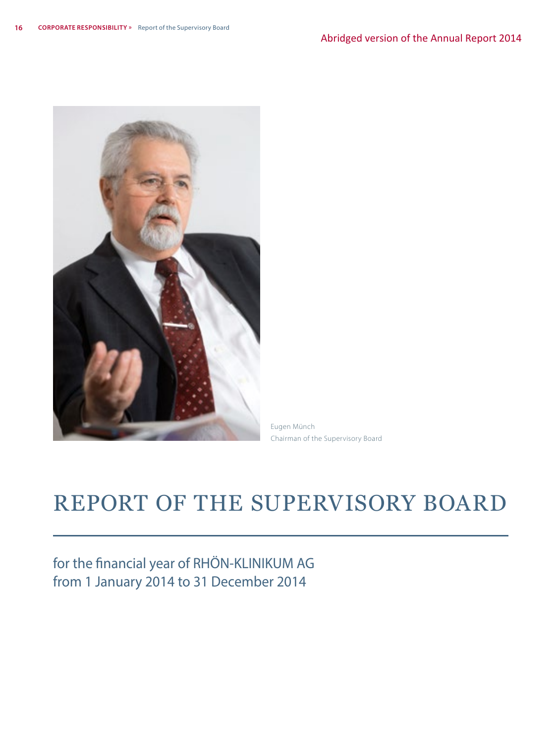

Eugen Münch Chairman of the Supervisory Board

# REPORT OF THE SUPERVISORY BOARD

for the financial year of RHÖN-KLINIKUM AG from 1 January 2014 to 31 December 2014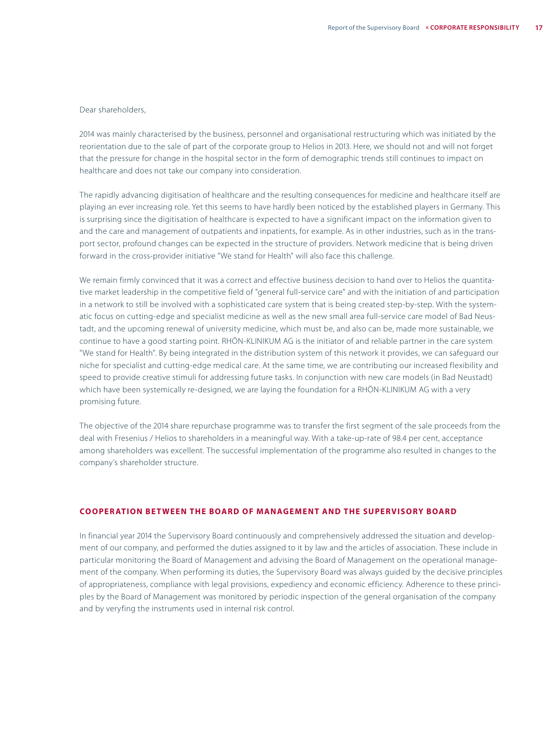#### Dear shareholders,

2014 was mainly characterised by the business, personnel and organisational restructuring which was initiated by the reorientation due to the sale of part of the corporate group to Helios in 2013. Here, we should not and will not forget that the pressure for change in the hospital sector in the form of demographic trends still continues to impact on healthcare and does not take our company into consideration.

The rapidly advancing digitisation of healthcare and the resulting consequences for medicine and healthcare itself are playing an ever increasing role. Yet this seems to have hardly been noticed by the established players in Germany. This is surprising since the digitisation of healthcare is expected to have a significant impact on the information given to and the care and management of outpatients and inpatients, for example. As in other industries, such as in the transport sector, profound changes can be expected in the structure of providers. Network medicine that is being driven forward in the cross-provider initiative "We stand for Health" will also face this challenge.

We remain firmly convinced that it was a correct and effective business decision to hand over to Helios the quantitative market leadership in the competitive field of "general full-service care" and with the initiation of and participation in a network to still be involved with a sophisticated care system that is being created step-by-step. With the systematic focus on cutting-edge and specialist medicine as well as the new small area full-service care model of Bad Neustadt, and the upcoming renewal of university medicine, which must be, and also can be, made more sustainable, we continue to have a good starting point. RHÖN-KLINIKUM AG is the initiator of and reliable partner in the care system "We stand for Health". By being integrated in the distribution system of this network it provides, we can safeguard our niche for specialist and cutting-edge medical care. At the same time, we are contributing our increased flexibility and speed to provide creative stimuli for addressing future tasks. In conjunction with new care models (in Bad Neustadt) which have been systemically re-designed, we are laying the foundation for a RHÖN-KLINIKUM AG with a very promising future.

The objective of the 2014 share repurchase programme was to transfer the first segment of the sale proceeds from the deal with Fresenius / Helios to shareholders in a meaningful way. With a take-up-rate of 98.4 per cent, acceptance among shareholders was excellent. The successful implementation of the programme also resulted in changes to the company's shareholder structure.

#### **COOPERATION BETWEEN THE BOARD OF MANAGEMENT AND THE SUPERVISORY BOARD**

In financial year 2014 the Supervisory Board continuously and comprehensively addressed the situation and development of our company, and performed the duties assigned to it by law and the articles of association. These include in particular monitoring the Board of Management and advising the Board of Management on the operational management of the company. When performing its duties, the Supervisory Board was always guided by the decisive principles of appropriateness, compliance with legal provisions, expediency and economic efficiency. Adherence to these principles by the Board of Management was monitored by periodic inspection of the general organisation of the company and by veryfing the instruments used in internal risk control.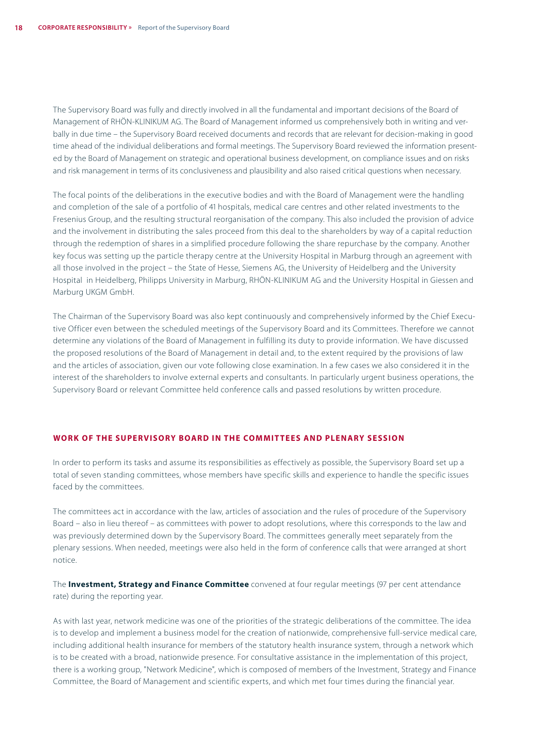The Supervisory Board was fully and directly involved in all the fundamental and important decisions of the Board of Management of RHÖN-KLINIKUM AG. The Board of Management informed us comprehensively both in writing and verbally in due time – the Supervisory Board received documents and records that are relevant for decision-making in good time ahead of the individual deliberations and formal meetings. The Supervisory Board reviewed the information presented by the Board of Management on strategic and operational business development, on compliance issues and on risks and risk management in terms of its conclusiveness and plausibility and also raised critical questions when necessary.

The focal points of the deliberations in the executive bodies and with the Board of Management were the handling and completion of the sale of a portfolio of 41 hospitals, medical care centres and other related investments to the Fresenius Group, and the resulting structural reorganisation of the company. This also included the provision of advice and the involvement in distributing the sales proceed from this deal to the shareholders by way of a capital reduction through the redemption of shares in a simplified procedure following the share repurchase by the company. Another key focus was setting up the particle therapy centre at the University Hospital in Marburg through an agreement with all those involved in the project – the State of Hesse, Siemens AG, the University of Heidelberg and the University Hospital in Heidelberg, Philipps University in Marburg, RHÖN-KLINIKUM AG and the University Hospital in Giessen and Marburg UKGM GmbH.

The Chairman of the Supervisory Board was also kept continuously and comprehensively informed by the Chief Executive Officer even between the scheduled meetings of the Supervisory Board and its Committees. Therefore we cannot determine any violations of the Board of Management in fulfilling its duty to provide information. We have discussed the proposed resolutions of the Board of Management in detail and, to the extent required by the provisions of law and the articles of association, given our vote following close examination. In a few cases we also considered it in the interest of the shareholders to involve external experts and consultants. In particularly urgent business operations, the Supervisory Board or relevant Committee held conference calls and passed resolutions by written procedure.

# **WORK OF THE SUPERVISORY BOARD IN THE COMMITTEES AND PLENARY SESSION**

In order to perform its tasks and assume its responsibilities as effectively as possible, the Supervisory Board set up a total of seven standing committees, whose members have specific skills and experience to handle the specific issues faced by the committees.

The committees act in accordance with the law, articles of association and the rules of procedure of the Supervisory Board – also in lieu thereof – as committees with power to adopt resolutions, where this corresponds to the law and was previously determined down by the Supervisory Board. The committees generally meet separately from the plenary sessions. When needed, meetings were also held in the form of conference calls that were arranged at short notice.

The **Investment, Strategy and Finance Committee** convened at four regular meetings (97 per cent attendance rate) during the reporting year.

As with last year, network medicine was one of the priorities of the strategic deliberations of the committee. The idea is to develop and implement a business model for the creation of nationwide, comprehensive full-service medical care, including additional health insurance for members of the statutory health insurance system, through a network which is to be created with a broad, nationwide presence. For consultative assistance in the implementation of this project, there is a working group, "Network Medicine", which is composed of members of the Investment, Strategy and Finance Committee, the Board of Management and scientific experts, and which met four times during the financial year.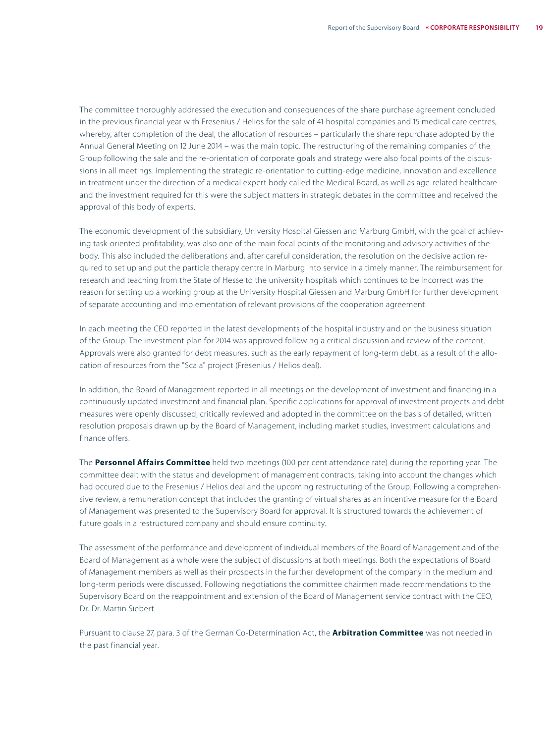The committee thoroughly addressed the execution and consequences of the share purchase agreement concluded in the previous financial year with Fresenius / Helios for the sale of 41 hospital companies and 15 medical care centres, whereby, after completion of the deal, the allocation of resources – particularly the share repurchase adopted by the Annual General Meeting on 12 June 2014 – was the main topic. The restructuring of the remaining companies of the Group following the sale and the re-orientation of corporate goals and strategy were also focal points of the discussions in all meetings. Implementing the strategic re-orientation to cutting-edge medicine, innovation and excellence in treatment under the direction of a medical expert body called the Medical Board, as well as age-related healthcare and the investment required for this were the subject matters in strategic debates in the committee and received the approval of this body of experts.

The economic development of the subsidiary, University Hospital Giessen and Marburg GmbH, with the goal of achieving task-oriented profitability, was also one of the main focal points of the monitoring and advisory activities of the body. This also included the deliberations and, after careful consideration, the resolution on the decisive action required to set up and put the particle therapy centre in Marburg into service in a timely manner. The reimbursement for research and teaching from the State of Hesse to the university hospitals which continues to be incorrect was the reason for setting up a working group at the University Hospital Giessen and Marburg GmbH for further development of separate accounting and implementation of relevant provisions of the cooperation agreement.

In each meeting the CEO reported in the latest developments of the hospital industry and on the business situation of the Group. The investment plan for 2014 was approved following a critical discussion and review of the content. Approvals were also granted for debt measures, such as the early repayment of long-term debt, as a result of the allocation of resources from the "Scala" project (Fresenius / Helios deal).

In addition, the Board of Management reported in all meetings on the development of investment and financing in a continuously updated investment and financial plan. Specific applications for approval of investment projects and debt measures were openly discussed, critically reviewed and adopted in the committee on the basis of detailed, written resolution proposals drawn up by the Board of Management, including market studies, investment calculations and finance offers.

The **Personnel Affairs Committee** held two meetings (100 per cent attendance rate) during the reporting year. The committee dealt with the status and development of management contracts, taking into account the changes which had occured due to the Fresenius / Helios deal and the upcoming restructuring of the Group. Following a comprehensive review, a remuneration concept that includes the granting of virtual shares as an incentive measure for the Board of Management was presented to the Supervisory Board for approval. It is structured towards the achievement of future goals in a restructured company and should ensure continuity.

The assessment of the performance and development of individual members of the Board of Management and of the Board of Management as a whole were the subject of discussions at both meetings. Both the expectations of Board of Management members as well as their prospects in the further development of the company in the medium and long-term periods were discussed. Following negotiations the committee chairmen made recommendations to the Supervisory Board on the reappointment and extension of the Board of Management service contract with the CEO, Dr. Dr. Martin Siebert.

Pursuant to clause 27, para. 3 of the German Co-Determination Act, the **Arbitration Committee** was not needed in the past financial year.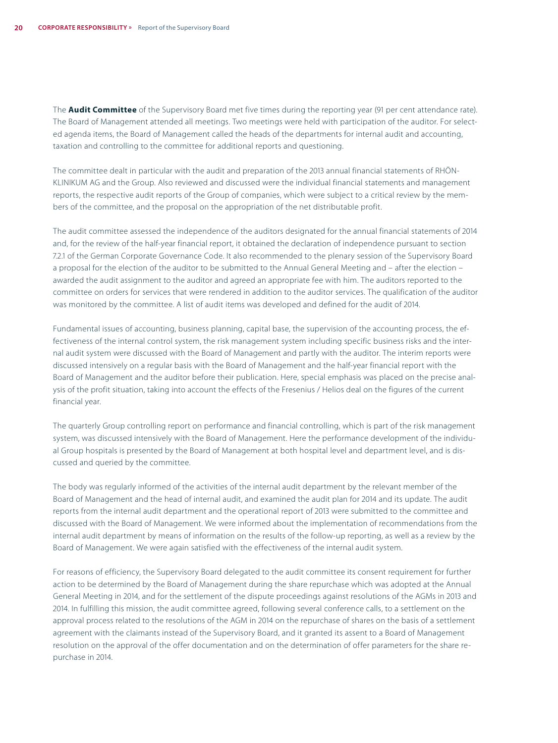The **Audit Committee** of the Supervisory Board met five times during the reporting year (91 per cent attendance rate). The Board of Management attended all meetings. Two meetings were held with participation of the auditor. For selected agenda items, the Board of Management called the heads of the departments for internal audit and accounting, taxation and controlling to the committee for additional reports and questioning.

The committee dealt in particular with the audit and preparation of the 2013 annual financial statements of RHÖN-KLINIKUM AG and the Group. Also reviewed and discussed were the individual financial statements and management reports, the respective audit reports of the Group of companies, which were subject to a critical review by the members of the committee, and the proposal on the appropriation of the net distributable profit.

The audit committee assessed the independence of the auditors designated for the annual financial statements of 2014 and, for the review of the half-year financial report, it obtained the declaration of independence pursuant to section 7.2.1 of the German Corporate Governance Code. It also recommended to the plenary session of the Supervisory Board a proposal for the election of the auditor to be submitted to the Annual General Meeting and – after the election – awarded the audit assignment to the auditor and agreed an appropriate fee with him. The auditors reported to the committee on orders for services that were rendered in addition to the auditor services. The qualification of the auditor was monitored by the committee. A list of audit items was developed and defined for the audit of 2014.

Fundamental issues of accounting, business planning, capital base, the supervision of the accounting process, the effectiveness of the internal control system, the risk management system including specific business risks and the internal audit system were discussed with the Board of Management and partly with the auditor. The interim reports were discussed intensively on a regular basis with the Board of Management and the half-year financial report with the Board of Management and the auditor before their publication. Here, special emphasis was placed on the precise analysis of the profit situation, taking into account the effects of the Fresenius / Helios deal on the figures of the current financial year.

The quarterly Group controlling report on performance and financial controlling, which is part of the risk management system, was discussed intensively with the Board of Management. Here the performance development of the individual Group hospitals is presented by the Board of Management at both hospital level and department level, and is discussed and queried by the committee.

The body was regularly informed of the activities of the internal audit department by the relevant member of the Board of Management and the head of internal audit, and examined the audit plan for 2014 and its update. The audit reports from the internal audit department and the operational report of 2013 were submitted to the committee and discussed with the Board of Management. We were informed about the implementation of recommendations from the internal audit department by means of information on the results of the follow-up reporting, as well as a review by the Board of Management. We were again satisfied with the effectiveness of the internal audit system.

For reasons of efficiency, the Supervisory Board delegated to the audit committee its consent requirement for further action to be determined by the Board of Management during the share repurchase which was adopted at the Annual General Meeting in 2014, and for the settlement of the dispute proceedings against resolutions of the AGMs in 2013 and 2014. In fulfilling this mission, the audit committee agreed, following several conference calls, to a settlement on the approval process related to the resolutions of the AGM in 2014 on the repurchase of shares on the basis of a settlement agreement with the claimants instead of the Supervisory Board, and it granted its assent to a Board of Management resolution on the approval of the offer documentation and on the determination of offer parameters for the share repurchase in 2014.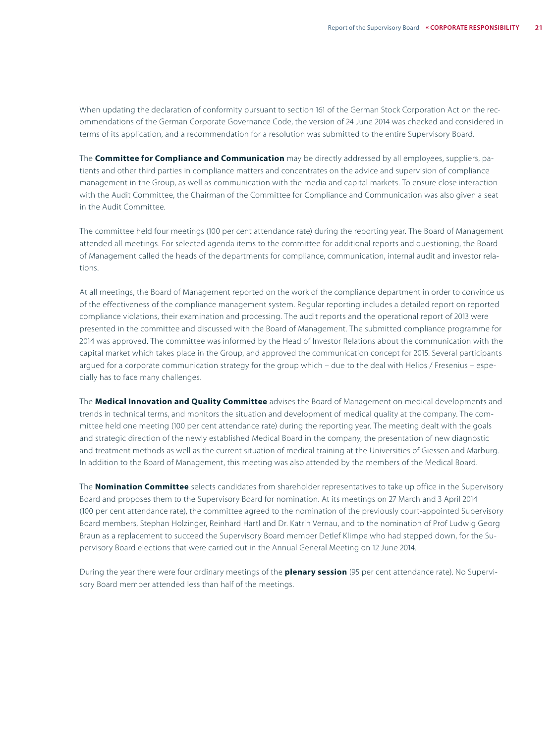When updating the declaration of conformity pursuant to section 161 of the German Stock Corporation Act on the recommendations of the German Corporate Governance Code, the version of 24 June 2014 was checked and considered in terms of its application, and a recommendation for a resolution was submitted to the entire Supervisory Board.

The **Committee for Compliance and Communication** may be directly addressed by all employees, suppliers, patients and other third parties in compliance matters and concentrates on the advice and supervision of compliance management in the Group, as well as communication with the media and capital markets. To ensure close interaction with the Audit Committee, the Chairman of the Committee for Compliance and Communication was also given a seat in the Audit Committee.

The committee held four meetings (100 per cent attendance rate) during the reporting year. The Board of Management attended all meetings. For selected agenda items to the committee for additional reports and questioning, the Board of Management called the heads of the departments for compliance, communication, internal audit and investor relations.

At all meetings, the Board of Management reported on the work of the compliance department in order to convince us of the effectiveness of the compliance management system. Regular reporting includes a detailed report on reported compliance violations, their examination and processing. The audit reports and the operational report of 2013 were presented in the committee and discussed with the Board of Management. The submitted compliance programme for 2014 was approved. The committee was informed by the Head of Investor Relations about the communication with the capital market which takes place in the Group, and approved the communication concept for 2015. Several participants argued for a corporate communication strategy for the group which – due to the deal with Helios / Fresenius – especially has to face many challenges.

The **Medical Innovation and Quality Committee** advises the Board of Management on medical developments and trends in technical terms, and monitors the situation and development of medical quality at the company. The committee held one meeting (100 per cent attendance rate) during the reporting year. The meeting dealt with the goals and strategic direction of the newly established Medical Board in the company, the presentation of new diagnostic and treatment methods as well as the current situation of medical training at the Universities of Giessen and Marburg. In addition to the Board of Management, this meeting was also attended by the members of the Medical Board.

The **Nomination Committee** selects candidates from shareholder representatives to take up office in the Supervisory Board and proposes them to the Supervisory Board for nomination. At its meetings on 27 March and 3 April 2014 (100 per cent attendance rate), the committee agreed to the nomination of the previously court-appointed Supervisory Board members, Stephan Holzinger, Reinhard Hartl and Dr. Katrin Vernau, and to the nomination of Prof Ludwig Georg Braun as a replacement to succeed the Supervisory Board member Detlef Klimpe who had stepped down, for the Supervisory Board elections that were carried out in the Annual General Meeting on 12 June 2014.

During the year there were four ordinary meetings of the **plenary session** (95 per cent attendance rate). No Supervisory Board member attended less than half of the meetings.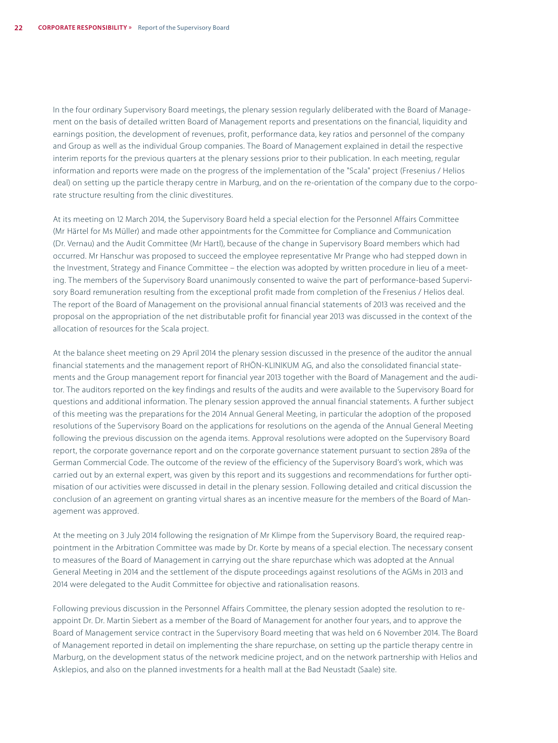In the four ordinary Supervisory Board meetings, the plenary session regularly deliberated with the Board of Management on the basis of detailed written Board of Management reports and presentations on the financial, liquidity and earnings position, the development of revenues, profit, performance data, key ratios and personnel of the company and Group as well as the individual Group companies. The Board of Management explained in detail the respective interim reports for the previous quarters at the plenary sessions prior to their publication. In each meeting, regular information and reports were made on the progress of the implementation of the "Scala" project (Fresenius / Helios deal) on setting up the particle therapy centre in Marburg, and on the re-orientation of the company due to the corporate structure resulting from the clinic divestitures.

At its meeting on 12 March 2014, the Supervisory Board held a special election for the Personnel Affairs Committee (Mr Härtel for Ms Müller) and made other appointments for the Committee for Compliance and Communication (Dr. Vernau) and the Audit Committee (Mr Hartl), because of the change in Supervisory Board members which had occurred. Mr Hanschur was proposed to succeed the employee representative Mr Prange who had stepped down in the Investment, Strategy and Finance Committee – the election was adopted by written procedure in lieu of a meeting. The members of the Supervisory Board unanimously consented to waive the part of performance-based Supervisory Board remuneration resulting from the exceptional profit made from completion of the Fresenius / Helios deal. The report of the Board of Management on the provisional annual financial statements of 2013 was received and the proposal on the appropriation of the net distributable profit for financial year 2013 was discussed in the context of the allocation of resources for the Scala project.

At the balance sheet meeting on 29 April 2014 the plenary session discussed in the presence of the auditor the annual financial statements and the management report of RHÖN-KLINIKUM AG, and also the consolidated financial statements and the Group management report for financial year 2013 together with the Board of Management and the auditor. The auditors reported on the key findings and results of the audits and were available to the Supervisory Board for questions and additional information. The plenary session approved the annual financial statements. A further subject of this meeting was the preparations for the 2014 Annual General Meeting, in particular the adoption of the proposed resolutions of the Supervisory Board on the applications for resolutions on the agenda of the Annual General Meeting following the previous discussion on the agenda items. Approval resolutions were adopted on the Supervisory Board report, the corporate governance report and on the corporate governance statement pursuant to section 289a of the German Commercial Code. The outcome of the review of the efficiency of the Supervisory Board's work, which was carried out by an external expert, was given by this report and its suggestions and recommendations for further optimisation of our activities were discussed in detail in the plenary session. Following detailed and critical discussion the conclusion of an agreement on granting virtual shares as an incentive measure for the members of the Board of Management was approved.

At the meeting on 3 July 2014 following the resignation of Mr Klimpe from the Supervisory Board, the required reappointment in the Arbitration Committee was made by Dr. Korte by means of a special election. The necessary consent to measures of the Board of Management in carrying out the share repurchase which was adopted at the Annual General Meeting in 2014 and the settlement of the dispute proceedings against resolutions of the AGMs in 2013 and 2014 were delegated to the Audit Committee for objective and rationalisation reasons.

Following previous discussion in the Personnel Affairs Committee, the plenary session adopted the resolution to reappoint Dr. Dr. Martin Siebert as a member of the Board of Management for another four years, and to approve the Board of Management service contract in the Supervisory Board meeting that was held on 6 November 2014. The Board of Management reported in detail on implementing the share repurchase, on setting up the particle therapy centre in Marburg, on the development status of the network medicine project, and on the network partnership with Helios and Asklepios, and also on the planned investments for a health mall at the Bad Neustadt (Saale) site.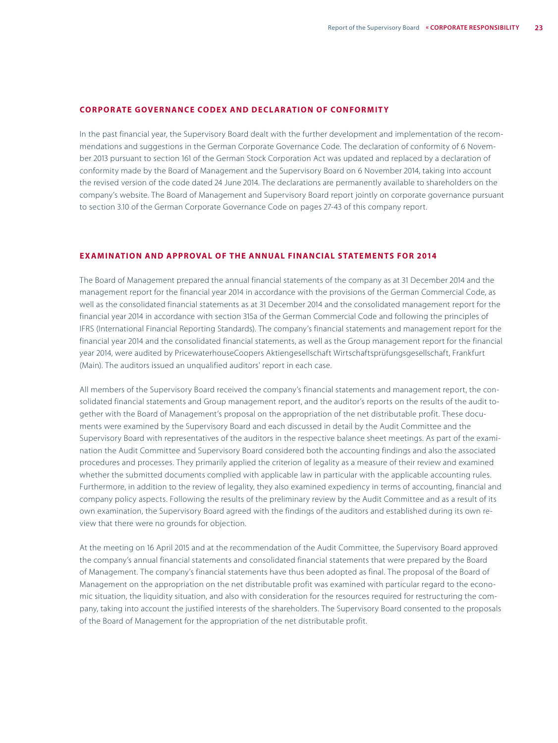#### **CORPORATE GOVERNANCE CODEX AND DECLARATION OF CONFORMITY**

In the past financial year, the Supervisory Board dealt with the further development and implementation of the recommendations and suggestions in the German Corporate Governance Code. The declaration of conformity of 6 November 2013 pursuant to section 161 of the German Stock Corporation Act was updated and replaced by a declaration of conformity made by the Board of Management and the Supervisory Board on 6 November 2014, taking into account the revised version of the code dated 24 June 2014. The declarations are permanently available to shareholders on the company's website. The Board of Management and Supervisory Board report jointly on corporate governance pursuant to section 3.10 of the German Corporate Governance Code on pages 27-43 of this company report.

#### **EXAMINATION AND APPROVAL OF THE ANNUAL FINANCIAL STATEMENTS FOR 2014**

The Board of Management prepared the annual financial statements of the company as at 31 December 2014 and the management report for the financial year 2014 in accordance with the provisions of the German Commercial Code, as well as the consolidated financial statements as at 31 December 2014 and the consolidated management report for the financial year 2014 in accordance with section 315a of the German Commercial Code and following the principles of IFRS (International Financial Reporting Standards). The company's financial statements and management report for the financial year 2014 and the consolidated financial statements, as well as the Group management report for the financial year 2014, were audited by PricewaterhouseCoopers Aktiengesellschaft Wirtschaftsprüfungsgesellschaft, Frankfurt (Main). The auditors issued an unqualified auditors' report in each case.

All members of the Supervisory Board received the company's financial statements and management report, the consolidated financial statements and Group management report, and the auditor's reports on the results of the audit together with the Board of Management's proposal on the appropriation of the net distributable profit. These documents were examined by the Supervisory Board and each discussed in detail by the Audit Committee and the Supervisory Board with representatives of the auditors in the respective balance sheet meetings. As part of the examination the Audit Committee and Supervisory Board considered both the accounting findings and also the associated procedures and processes. They primarily applied the criterion of legality as a measure of their review and examined whether the submitted documents complied with applicable law in particular with the applicable accounting rules. Furthermore, in addition to the review of legality, they also examined expediency in terms of accounting, financial and company policy aspects. Following the results of the preliminary review by the Audit Committee and as a result of its own examination, the Supervisory Board agreed with the findings of the auditors and established during its own review that there were no grounds for objection.

At the meeting on 16 April 2015 and at the recommendation of the Audit Committee, the Supervisory Board approved the company's annual financial statements and consolidated financial statements that were prepared by the Board of Management. The company's financial statements have thus been adopted as final. The proposal of the Board of Management on the appropriation on the net distributable profit was examined with particular regard to the economic situation, the liquidity situation, and also with consideration for the resources required for restructuring the company, taking into account the justified interests of the shareholders. The Supervisory Board consented to the proposals of the Board of Management for the appropriation of the net distributable profit.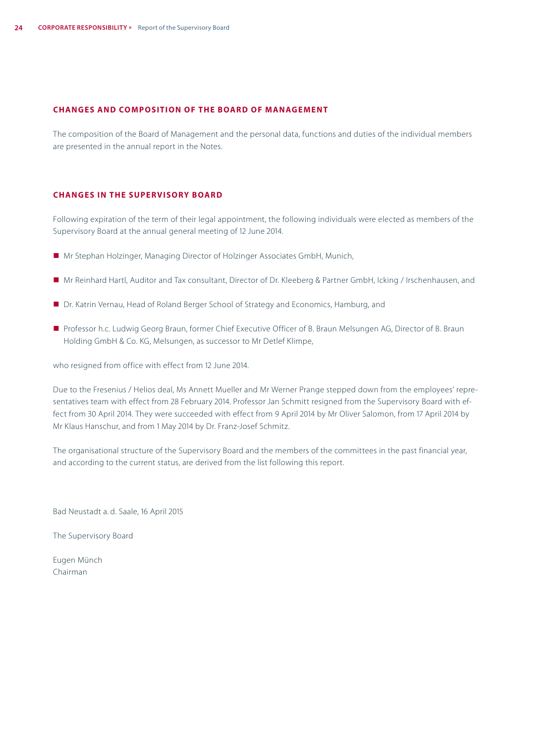#### **CHANGES AND COMPOSITION OF THE BOARD OF MANAGEMENT**

The composition of the Board of Management and the personal data, functions and duties of the individual members are presented in the annual report in the Notes.

#### **CHANGES IN THE SUPERVISORY BOARD**

Following expiration of the term of their legal appointment, the following individuals were elected as members of the Supervisory Board at the annual general meeting of 12 June 2014.

- Mr Stephan Holzinger, Managing Director of Holzinger Associates GmbH, Munich,
- Mr Reinhard Hartl, Auditor and Tax consultant, Director of Dr. Kleeberg & Partner GmbH, Icking / Irschenhausen, and
- Dr. Katrin Vernau, Head of Roland Berger School of Strategy and Economics, Hamburg, and
- Professor h.c. Ludwig Georg Braun, former Chief Executive Officer of B. Braun Melsungen AG, Director of B. Braun Holding GmbH & Co. KG, Melsungen, as successor to Mr Detlef Klimpe,

who resigned from office with effect from 12 June 2014.

Due to the Fresenius / Helios deal, Ms Annett Mueller and Mr Werner Prange stepped down from the employees' representatives team with effect from 28 February 2014. Professor Jan Schmitt resigned from the Supervisory Board with effect from 30 April 2014. They were succeeded with effect from 9 April 2014 by Mr Oliver Salomon, from 17 April 2014 by Mr Klaus Hanschur, and from 1 May 2014 by Dr. Franz-Josef Schmitz.

The organisational structure of the Supervisory Board and the members of the committees in the past financial year, and according to the current status, are derived from the list following this report.

Bad Neustadt a. d. Saale, 16 April 2015

The Supervisory Board

Eugen Münch Chairman